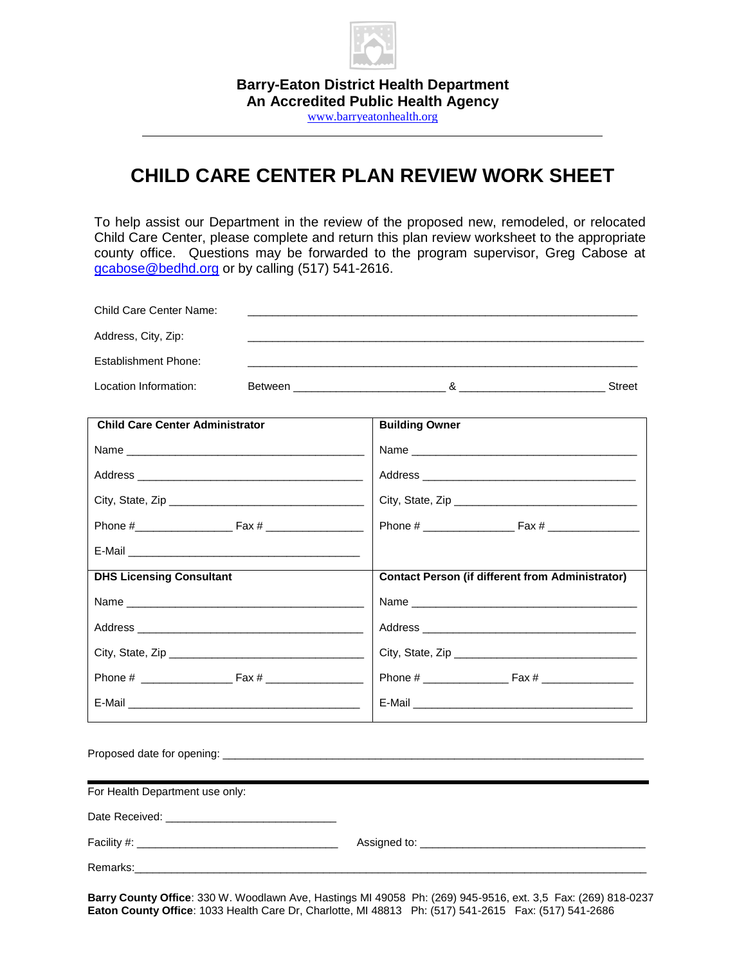

**Barry-Eaton District Health Department An Accredited Public Health Agency** [www.barryeatonhealth.org](http://www.barryeatonhealth.org/)

### **CHILD CARE CENTER PLAN REVIEW WORK SHEET**

To help assist our Department in the review of the proposed new, remodeled, or relocated Child Care Center, please complete and return this plan review worksheet to the appropriate county office. Questions may be forwarded to the program supervisor, Greg Cabose at [gcabose@bedhd.org](mailto:gcabose@bedhd.org) or by calling (517) 541-2616.

| <b>Child Care Center Name:</b>         |  |                       |                                                         |  |  |
|----------------------------------------|--|-----------------------|---------------------------------------------------------|--|--|
| Address, City, Zip:                    |  |                       |                                                         |  |  |
| <b>Establishment Phone:</b>            |  |                       |                                                         |  |  |
| Location Information:                  |  |                       |                                                         |  |  |
|                                        |  |                       |                                                         |  |  |
| <b>Child Care Center Administrator</b> |  | <b>Building Owner</b> |                                                         |  |  |
|                                        |  |                       |                                                         |  |  |
|                                        |  |                       |                                                         |  |  |
|                                        |  |                       |                                                         |  |  |
|                                        |  |                       |                                                         |  |  |
|                                        |  |                       |                                                         |  |  |
| <b>DHS Licensing Consultant</b>        |  |                       | <b>Contact Person (if different from Administrator)</b> |  |  |
|                                        |  |                       |                                                         |  |  |
|                                        |  |                       |                                                         |  |  |
|                                        |  |                       |                                                         |  |  |
|                                        |  |                       |                                                         |  |  |
| E-Mail <b>E-Mail E-Mail E-Mail</b>     |  |                       |                                                         |  |  |
|                                        |  |                       |                                                         |  |  |
|                                        |  |                       |                                                         |  |  |
| For Health Department use only:        |  |                       |                                                         |  |  |
|                                        |  |                       |                                                         |  |  |
|                                        |  |                       |                                                         |  |  |
|                                        |  |                       |                                                         |  |  |
|                                        |  |                       |                                                         |  |  |

**Barry County Office**: 330 W. Woodlawn Ave, Hastings MI 49058 Ph: (269) 945-9516, ext. 3,5 Fax: (269) 818-0237 **Eaton County Office**: 1033 Health Care Dr, Charlotte, MI 48813 Ph: (517) 541-2615 Fax: (517) 541-2686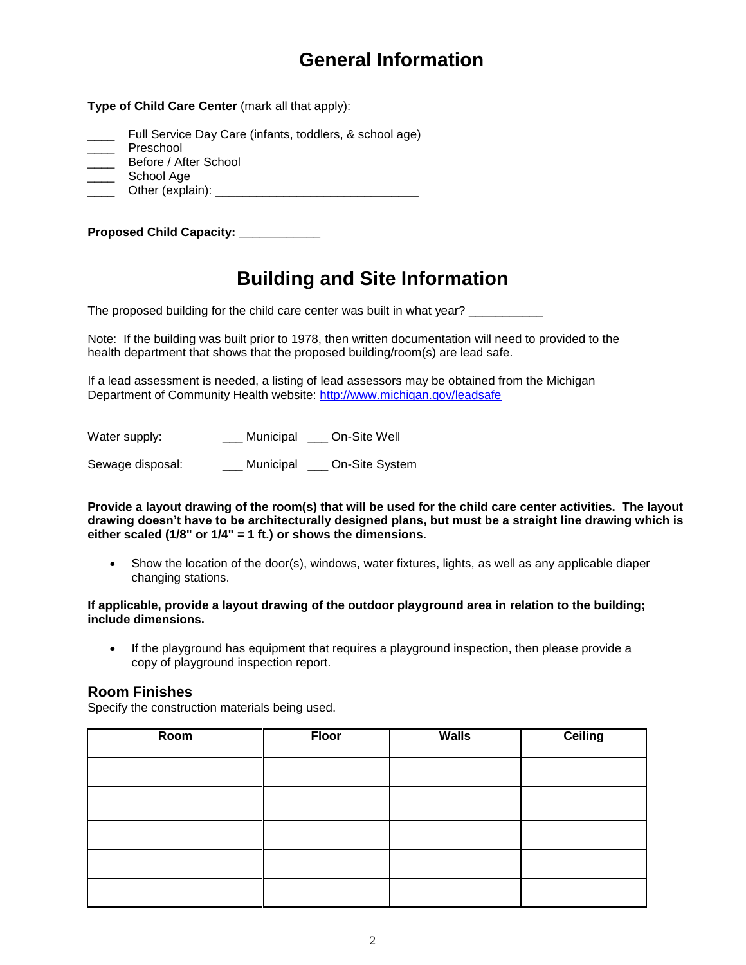# **General Information**

**Type of Child Care Center** (mark all that apply):

- Full Service Day Care (infants, toddlers, & school age)
- \_\_\_\_ Preschool
- \_\_\_\_ Before / After School
- \_\_\_\_ School Age
- \_\_\_\_ Other (explain): \_\_\_\_\_\_\_\_\_\_\_\_\_\_\_\_\_\_\_\_\_\_\_\_\_\_\_\_\_\_

**Proposed Child Capacity:** 

# **Building and Site Information**

The proposed building for the child care center was built in what year?

Note: If the building was built prior to 1978, then written documentation will need to provided to the health department that shows that the proposed building/room(s) are lead safe.

If a lead assessment is needed, a listing of lead assessors may be obtained from the Michigan Department of Community Health website:<http://www.michigan.gov/leadsafe>

Water supply: \_\_\_ Municipal \_\_\_ On-Site Well

Sewage disposal: Municipal On-Site System

**Provide a layout drawing of the room(s) that will be used for the child care center activities. The layout drawing doesn't have to be architecturally designed plans, but must be a straight line drawing which is either scaled (1/8" or 1/4" = 1 ft.) or shows the dimensions.** 

 Show the location of the door(s), windows, water fixtures, lights, as well as any applicable diaper changing stations.

#### **If applicable, provide a layout drawing of the outdoor playground area in relation to the building; include dimensions.**

• If the playground has equipment that requires a playground inspection, then please provide a copy of playground inspection report.

#### **Room Finishes**

Specify the construction materials being used.

| Room | <b>Floor</b> | <b>Walls</b> | Ceiling |
|------|--------------|--------------|---------|
|      |              |              |         |
|      |              |              |         |
|      |              |              |         |
|      |              |              |         |
|      |              |              |         |
|      |              |              |         |
|      |              |              |         |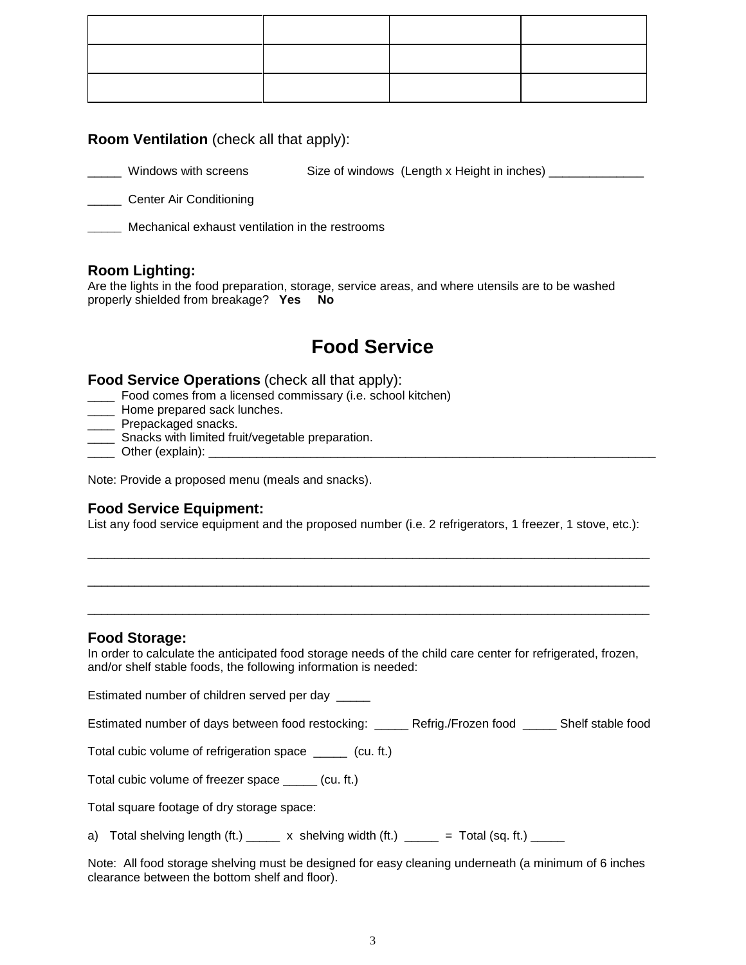#### **Room Ventilation** (check all that apply):

Windows with screens Size of windows (Length x Height in inches) \_\_\_\_\_\_\_\_\_\_\_\_\_\_\_

**LETT** Center Air Conditioning

**\_\_\_\_\_** Mechanical exhaust ventilation in the restrooms

#### **Room Lighting:**

Are the lights in the food preparation, storage, service areas, and where utensils are to be washed properly shielded from breakage? **Yes No**

# **Food Service**

#### **Food Service Operations** (check all that apply):

- \_\_\_\_ Food comes from a licensed commissary (i.e. school kitchen)
- Home prepared sack lunches.
- **\_\_\_\_\_** Prepackaged snacks.
- **\_\_\_\_** Snacks with limited fruit/vegetable preparation.
- Other (explain):

Note: Provide a proposed menu (meals and snacks).

#### **Food Service Equipment:**

List any food service equipment and the proposed number (i.e. 2 refrigerators, 1 freezer, 1 stove, etc.):

\_\_\_\_\_\_\_\_\_\_\_\_\_\_\_\_\_\_\_\_\_\_\_\_\_\_\_\_\_\_\_\_\_\_\_\_\_\_\_\_\_\_\_\_\_\_\_\_\_\_\_\_\_\_\_\_\_\_\_\_\_\_\_\_\_\_\_\_\_\_\_\_\_\_\_\_\_\_\_\_\_\_\_

\_\_\_\_\_\_\_\_\_\_\_\_\_\_\_\_\_\_\_\_\_\_\_\_\_\_\_\_\_\_\_\_\_\_\_\_\_\_\_\_\_\_\_\_\_\_\_\_\_\_\_\_\_\_\_\_\_\_\_\_\_\_\_\_\_\_\_\_\_\_\_\_\_\_\_\_\_\_\_\_\_\_\_

\_\_\_\_\_\_\_\_\_\_\_\_\_\_\_\_\_\_\_\_\_\_\_\_\_\_\_\_\_\_\_\_\_\_\_\_\_\_\_\_\_\_\_\_\_\_\_\_\_\_\_\_\_\_\_\_\_\_\_\_\_\_\_\_\_\_\_\_\_\_\_\_\_\_\_\_\_\_\_\_\_\_\_

#### **Food Storage:**

In order to calculate the anticipated food storage needs of the child care center for refrigerated, frozen, and/or shelf stable foods, the following information is needed:

Estimated number of children served per day \_\_\_\_\_

Estimated number of days between food restocking: \_\_\_\_\_ Refrig./Frozen food \_\_\_\_\_ Shelf stable food

Total cubic volume of refrigeration space \_\_\_\_\_ (cu. ft.)

Total cubic volume of freezer space \_\_\_\_\_ (cu. ft.)

Total square footage of dry storage space:

a) Total shelving length (ft.)  $\frac{1}{2}$  x shelving width (ft.)  $\frac{1}{2}$  = Total (sq. ft.)  $\frac{1}{2}$ 

Note: All food storage shelving must be designed for easy cleaning underneath (a minimum of 6 inches clearance between the bottom shelf and floor).